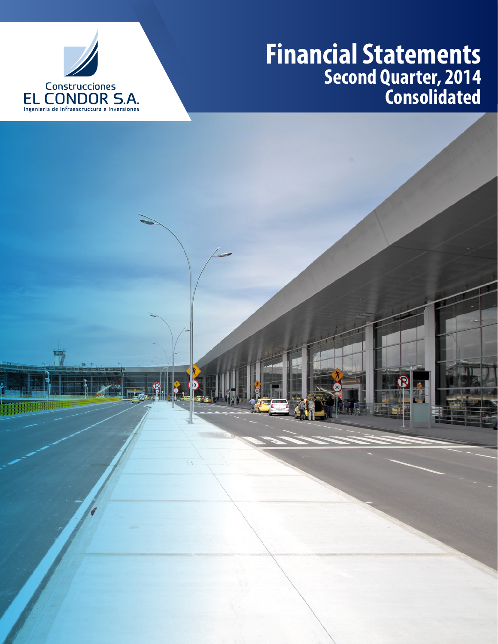

## **Financial Statements Second Quarter, 2014 Consolidated**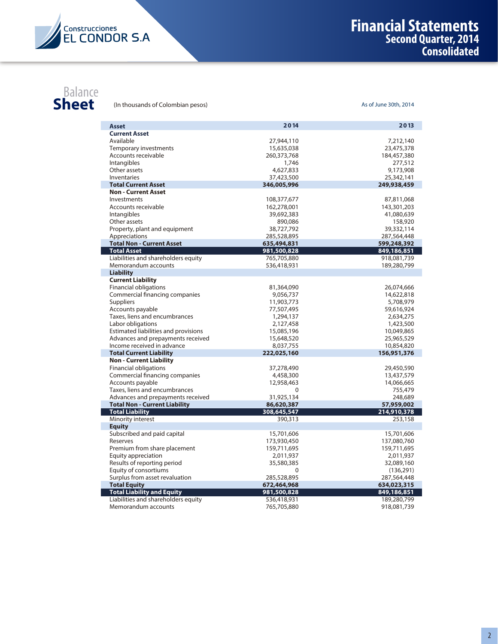

## **Sheet**

**Sheet** (In thousands of Colombian pesos) As of June 30th, 2014

|                                                                 | 2014        | 2013        |
|-----------------------------------------------------------------|-------------|-------------|
| Asset<br><b>Current Asset</b>                                   |             |             |
| Available                                                       | 27,944,110  | 7,212,140   |
| Temporary investments                                           | 15,635,038  | 23,475,378  |
| Accounts receivable                                             | 260,373,768 | 184,457,380 |
| Intangibles                                                     | 1,746       | 277,512     |
| Other assets                                                    | 4,627,833   | 9,173,908   |
| <b>Inventaries</b>                                              | 37,423,500  | 25,342,141  |
| <b>Total Current Asset</b>                                      | 346,005,996 | 249,938,459 |
| <b>Non - Current Asset</b>                                      |             |             |
| Investments                                                     | 108,377,677 | 87,811,068  |
| Accounts receivable                                             | 162,278,001 | 143,301,203 |
| Intangibles                                                     | 39,692,383  | 41,080,639  |
| Other assets                                                    | 890,086     | 158,920     |
| Property, plant and equipment                                   | 38,727,792  | 39,332,114  |
| Appreciations                                                   | 285,528,895 | 287,564,448 |
| <b>Total Non - Current Asset</b>                                | 635,494,831 | 599,248,392 |
| <b>Total Asset</b>                                              | 981,500,828 | 849,186,851 |
| Liabilities and shareholders equity                             | 765,705,880 | 918,081,739 |
| Memorandum accounts                                             | 536,418,931 | 189,280,799 |
| <b>Liability</b>                                                |             |             |
| <b>Current Liability</b>                                        |             |             |
| <b>Financial obligations</b>                                    | 81,364,090  | 26,074,666  |
| Commercial financing companies                                  | 9,056,737   | 14,622,818  |
| <b>Suppliers</b>                                                | 11,903,773  | 5,708,979   |
| Accounts payable                                                | 77,507,495  | 59,616,924  |
| Taxes, liens and encumbrances                                   | 1,294,137   | 2,634,275   |
| Labor obligations                                               | 2,127,458   | 1,423,500   |
| Estimated liabilities and provisions                            | 15,085,196  | 10,049,865  |
| Advances and prepayments received<br>Income received in advance | 15,648,520  | 25,965,529  |
| <b>Total Current Liability</b>                                  | 8,037,755   | 10,854,820  |
| <b>Non - Current Liability</b>                                  | 222,025,160 | 156,951,376 |
| <b>Financial obligations</b>                                    | 37,278,490  | 29,450,590  |
| Commercial financing companies                                  | 4,458,300   | 13,437,579  |
| Accounts payable                                                | 12,958,463  | 14,066,665  |
| Taxes, liens and encumbrances                                   | 0           | 755,479     |
| Advances and prepayments received                               | 31,925,134  | 248,689     |
| <b>Total Non - Current Liability</b>                            | 86,620,387  | 57,959,002  |
| <b>Total Liability</b>                                          | 308,645,547 | 214,910,378 |
| Minority interest                                               | 390,313     | 253,158     |
| <b>Equity</b>                                                   |             |             |
| Subscribed and paid capital                                     | 15,701,606  | 15,701,606  |
| Reserves                                                        | 173,930,450 | 137,080,760 |
| Premium from share placement                                    | 159,711,695 | 159,711,695 |
| Equity appreciation                                             | 2,011,937   | 2,011,937   |
| Results of reporting period                                     | 35,580,385  | 32,089,160  |
| Equity of consortiums                                           | $\Omega$    | (136,291)   |
| Surplus from asset revaluation                                  | 285,528,895 | 287,564,448 |
| <b>Total Equity</b>                                             | 672,464,968 | 634,023,315 |
| <b>Total Liability and Equity</b>                               | 981,500,828 | 849,186,851 |
| Liabilities and shareholders equity                             | 536,418,931 | 189,280,799 |
| Memorandum accounts                                             | 765,705,880 | 918,081,739 |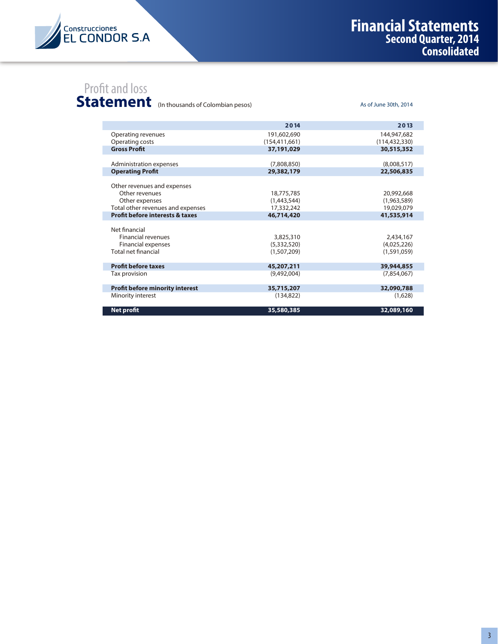

As of June 30th, 2014

## Profit and loss

Statement (In thousands of Colombian pesos)

|                                            | 2014            | 2013            |
|--------------------------------------------|-----------------|-----------------|
| Operating revenues                         | 191,602,690     | 144,947,682     |
| Operating costs                            | (154, 411, 661) | (114, 432, 330) |
| <b>Gross Profit</b>                        | 37,191,029      | 30,515,352      |
| Administration expenses                    | (7,808,850)     | (8,008,517)     |
| <b>Operating Profit</b>                    | 29,382,179      | 22,506,835      |
| Other revenues and expenses                |                 |                 |
| Other revenues                             | 18,775,785      | 20,992,668      |
| Other expenses                             | (1,443,544)     | (1,963,589)     |
| Total other revenues and expenses          | 17,332,242      | 19,029,079      |
| <b>Profit before interests &amp; taxes</b> | 46,714,420      | 41,535,914      |
| Net financial                              |                 |                 |
| <b>Financial revenues</b>                  | 3,825,310       | 2,434,167       |
| <b>Financial expenses</b>                  | (5,332,520)     | (4,025,226)     |
| <b>Total net financial</b>                 | (1.507.209)     | (1.591.059)     |
| <b>Profit before taxes</b>                 | 45,207,211      | 39,944,855      |
| Tax provision                              | (9,492,004)     | (7.854.067)     |
| <b>Profit before minority interest</b>     | 35,715,207      | 32,090,788      |
| Minority interest                          | (134, 822)      | (1,628)         |
| <b>Net profit</b>                          | 35,580,385      | 32,089,160      |